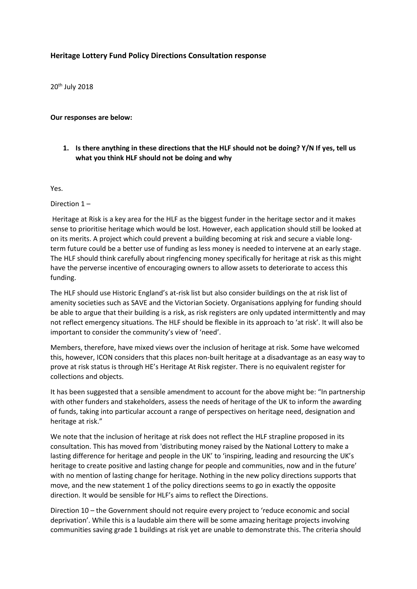### **Heritage Lottery Fund Policy Directions Consultation response**

20th July 2018

#### **Our responses are below:**

**1. Is there anything in these directions that the HLF should not be doing? Y/N If yes, tell us what you think HLF should not be doing and why**

Yes.

Direction 1 –

Heritage at Risk is a key area for the HLF as the biggest funder in the heritage sector and it makes sense to prioritise heritage which would be lost. However, each application should still be looked at on its merits. A project which could prevent a building becoming at risk and secure a viable longterm future could be a better use of funding as less money is needed to intervene at an early stage. The HLF should think carefully about ringfencing money specifically for heritage at risk as this might have the perverse incentive of encouraging owners to allow assets to deteriorate to access this funding.

The HLF should use Historic England's at-risk list but also consider buildings on the at risk list of amenity societies such as SAVE and the Victorian Society. Organisations applying for funding should be able to argue that their building is a risk, as risk registers are only updated intermittently and may not reflect emergency situations. The HLF should be flexible in its approach to 'at risk'. It will also be important to consider the community's view of 'need'.

Members, therefore, have mixed views over the inclusion of heritage at risk. Some have welcomed this, however, ICON considers that this places non-built heritage at a disadvantage as an easy way to prove at risk status is through HE's Heritage At Risk register. There is no equivalent register for collections and objects.

It has been suggested that a sensible amendment to account for the above might be: "In partnership with other funders and stakeholders, assess the needs of heritage of the UK to inform the awarding of funds, taking into particular account a range of perspectives on heritage need, designation and heritage at risk."

We note that the inclusion of heritage at risk does not reflect the HLF strapline proposed in its consultation. This has moved from 'distributing money raised by the National Lottery to make a lasting difference for heritage and people in the UK' to 'inspiring, leading and resourcing the UK's heritage to create positive and lasting change for people and communities, now and in the future' with no mention of lasting change for heritage. Nothing in the new policy directions supports that move, and the new statement 1 of the policy directions seems to go in exactly the opposite direction. It would be sensible for HLF's aims to reflect the Directions.

Direction 10 – the Government should not require every project to 'reduce economic and social deprivation'. While this is a laudable aim there will be some amazing heritage projects involving communities saving grade 1 buildings at risk yet are unable to demonstrate this. The criteria should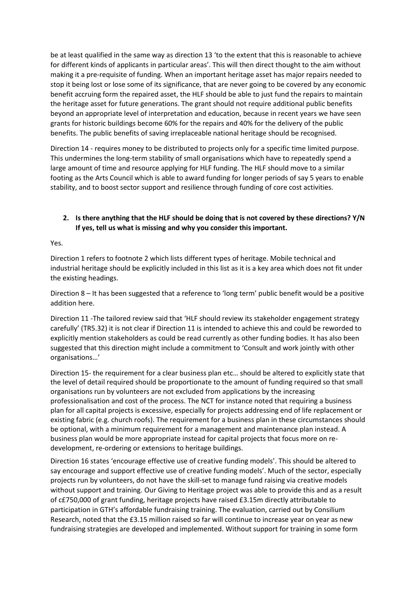be at least qualified in the same way as direction 13 'to the extent that this is reasonable to achieve for different kinds of applicants in particular areas'. This will then direct thought to the aim without making it a pre-requisite of funding. When an important heritage asset has major repairs needed to stop it being lost or lose some of its significance, that are never going to be covered by any economic benefit accruing form the repaired asset, the HLF should be able to just fund the repairs to maintain the heritage asset for future generations. The grant should not require additional public benefits beyond an appropriate level of interpretation and education, because in recent years we have seen grants for historic buildings become 60% for the repairs and 40% for the delivery of the public benefits. The public benefits of saving irreplaceable national heritage should be recognised.

Direction 14 - requires money to be distributed to projects only for a specific time limited purpose. This undermines the long-term stability of small organisations which have to repeatedly spend a large amount of time and resource applying for HLF funding. The HLF should move to a similar footing as the Arts Council which is able to award funding for longer periods of say 5 years to enable stability, and to boost sector support and resilience through funding of core cost activities.

## **2. Is there anything that the HLF should be doing that is not covered by these directions? Y/N If yes, tell us what is missing and why you consider this important.**

Yes.

Direction 1 refers to footnote 2 which lists different types of heritage. Mobile technical and industrial heritage should be explicitly included in this list as it is a key area which does not fit under the existing headings.

Direction 8 – It has been suggested that a reference to 'long term' public benefit would be a positive addition here.

Direction 11 -The tailored review said that 'HLF should review its stakeholder engagement strategy carefully' (TR5.32) it is not clear if Direction 11 is intended to achieve this and could be reworded to explicitly mention stakeholders as could be read currently as other funding bodies. It has also been suggested that this direction might include a commitment to 'Consult and work jointly with other organisations…'

Direction 15- the requirement for a clear business plan etc… should be altered to explicitly state that the level of detail required should be proportionate to the amount of funding required so that small organisations run by volunteers are not excluded from applications by the increasing professionalisation and cost of the process. The NCT for instance noted that requiring a business plan for all capital projects is excessive, especially for projects addressing end of life replacement or existing fabric (e.g. church roofs). The requirement for a business plan in these circumstances should be optional, with a minimum requirement for a management and maintenance plan instead. A business plan would be more appropriate instead for capital projects that focus more on redevelopment, re-ordering or extensions to heritage buildings.

Direction 16 states 'encourage effective use of creative funding models'. This should be altered to say encourage and support effective use of creative funding models'. Much of the sector, especially projects run by volunteers, do not have the skill-set to manage fund raising via creative models without support and training. Our Giving to Heritage project was able to provide this and as a result of c£750,000 of grant funding, heritage projects have raised £3.15m directly attributable to participation in GTH's affordable fundraising training. The evaluation, carried out by Consilium Research, noted that the £3.15 million raised so far will continue to increase year on year as new fundraising strategies are developed and implemented. Without support for training in some form